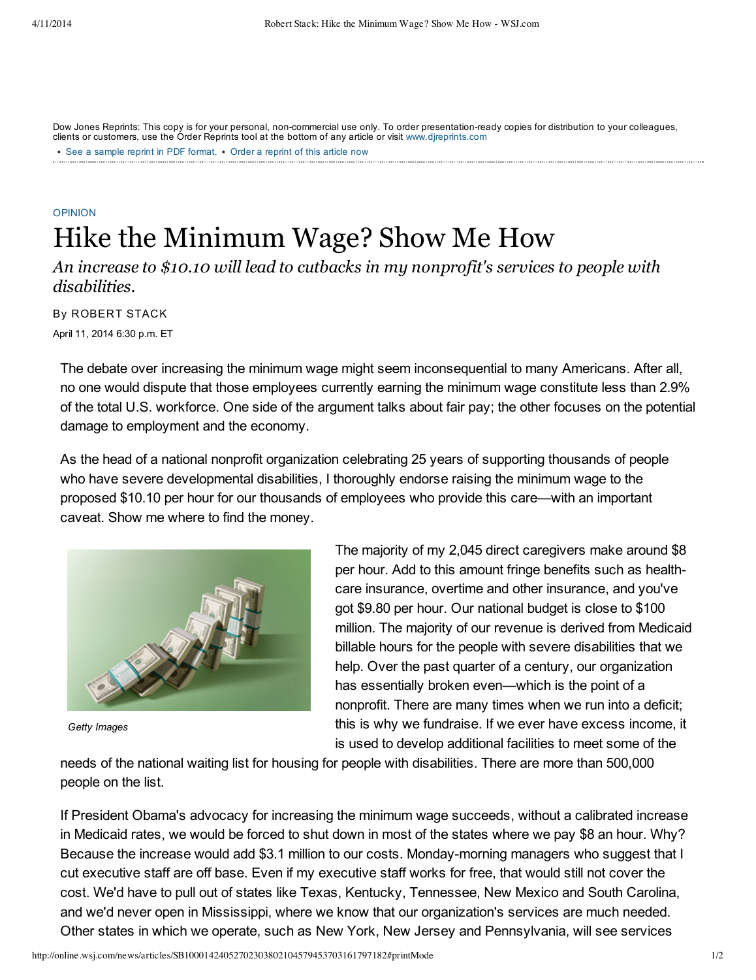See a [sample](http://online.wsj.com/public/resources/documents/Reprint_Samples.pdf) reprint in PDF format. • Order a reprint of this article now Dow Jones Reprints: This copy is for your personal, non-commercial use only. To order presentation-ready copies for distribution to your colleagues, clients or customers, use the Order Reprints tool at the bottom of any article or visit [www.djreprints.com](http://www.djreprints.com/)

## [OPINION](http://online.wsj.com/public/search?article-doc-type=%7BCommentary+(U.S.)%7D&HEADER_TEXT=commentary+(u.s.)) Hike the Minimum Wage? Show Me How

*An increase to \$10.10 will lead to cutbacks in my nonprofit's services to people with disabilities.*

April 11, 2014 6:30 p.m. ET By ROBERT STACK

The debate over increasing the minimum wage might seem inconsequential to many Americans. After all, no one would dispute that those employees currently earning the minimum wage constitute less than 2.9% of the total U.S. workforce. One side of the argument talks about fair pay; the other focuses on the potential damage to employment and the economy.

As the head of a national nonprofit organization celebrating 25 years of supporting thousands of people who have severe developmental disabilities, I thoroughly endorse raising the minimum wage to the proposed \$10.10 per hour for our thousands of employees who provide this care—with an important caveat. Show me where to find the money.



*Getty Images*

The majority of my 2,045 direct caregivers make around \$8 per hour. Add to this amount fringe benefits such as healthcare insurance, overtime and other insurance, and you've got \$9.80 per hour. Our national budget is close to \$100 million. The majority of our revenue is derived from Medicaid billable hours for the people with severe disabilities that we help. Over the past quarter of a century, our organization has essentially broken even—which is the point of a nonprofit. There are many times when we run into a deficit; this is why we fundraise. If we ever have excess income, it is used to develop additional facilities to meet some of the

needs of the national waiting list for housing for people with disabilities. There are more than 500,000 people on the list.

If President Obama's advocacy for increasing the minimum wage succeeds, without a calibrated increase in Medicaid rates, we would be forced to shut down in most of the states where we pay \$8 an hour. Why? Because the increase would add \$3.1 million to our costs. Monday-morning managers who suggest that I cut executive staff are off base. Even if my executive staff works for free, that would still not cover the cost. We'd have to pull out of states like Texas, Kentucky, Tennessee, New Mexico and South Carolina, and we'd never open in Mississippi, where we know that our organization's services are much needed. Other states in which we operate, such as New York, New Jersey and Pennsylvania, will see services